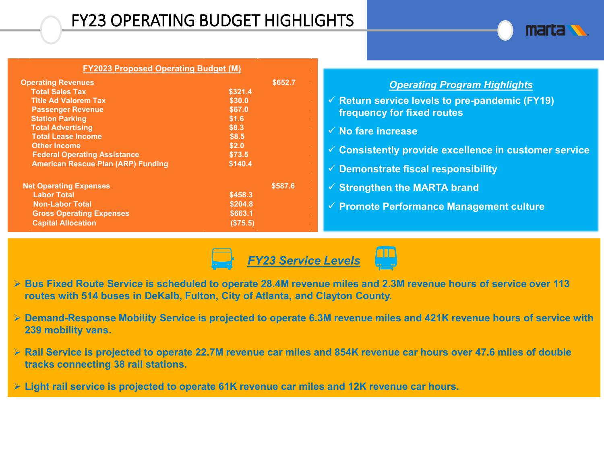## FY23 OPERATING BUDGET HIGHLIGHTS



| <b>FY2023 Proposed Operating Budget (M)</b>                                                                                                                                                                                                                                                                  |                                                                                                 |                                                                                                                                                                                              |
|--------------------------------------------------------------------------------------------------------------------------------------------------------------------------------------------------------------------------------------------------------------------------------------------------------------|-------------------------------------------------------------------------------------------------|----------------------------------------------------------------------------------------------------------------------------------------------------------------------------------------------|
| <b>Operating Revenues</b><br><b>Total Sales Tax</b><br><b>Title Ad Valorem Tax</b><br><b>Passenger Revenue</b><br><b>Station Parking</b><br><b>Total Advertising</b><br><b>Total Lease Income</b><br><b>Other Income</b><br><b>Federal Operating Assistance</b><br><b>American Rescue Plan (ARP) Funding</b> | \$652.7<br>\$321.4<br>\$30.0<br>\$67.0<br>\$1.6<br>\$8.3<br>\$8.5<br>\$2.0<br>\$73.5<br>\$140.4 | <b>Operating</b><br>$\checkmark$ Return service levels<br>frequency for fixed re<br>$\checkmark$ No fare increase<br>$\checkmark$ Consistently provide<br>$\checkmark$ Demonstrate fiscal re |
| <b>Net Operating Expenses</b><br><b>Labor Total</b><br><b>Non-Labor Total</b><br><b>Gross Operating Expenses</b><br><b>Capital Allocation</b>                                                                                                                                                                | \$587.6<br>\$458.3<br>\$204.8<br>\$663.1<br>(\$75.5)                                            | $\checkmark$ Strengthen the MAR<br>$\checkmark$ Promote Performanc                                                                                                                           |

#### **Program Highlights**

- to pre-pandemic (FY19) **f**outes
- **excellence in customer service**
- **Besponsibility**
- **FA** brand
- **Proming Management culture**



- **Bus Fixed Route Service is scheduled to operate 28.4M revenue miles and 2.3M revenue hours of service over 113 routes with 514 buses in DeKalb, Fulton, City of Atlanta, and Clayton County.**
- **Demand-Response Mobility Service is projected to operate 6.3M revenue miles and 421K revenue hours of service with 239 mobility vans.**
- **Rail Service is projected to operate 22.7M revenue car miles and 854K revenue car hours over 47.6 miles of double tracks connecting 38 rail stations.**
- **Light rail service is projected to operate 61K revenue car miles and 12K revenue car hours.**